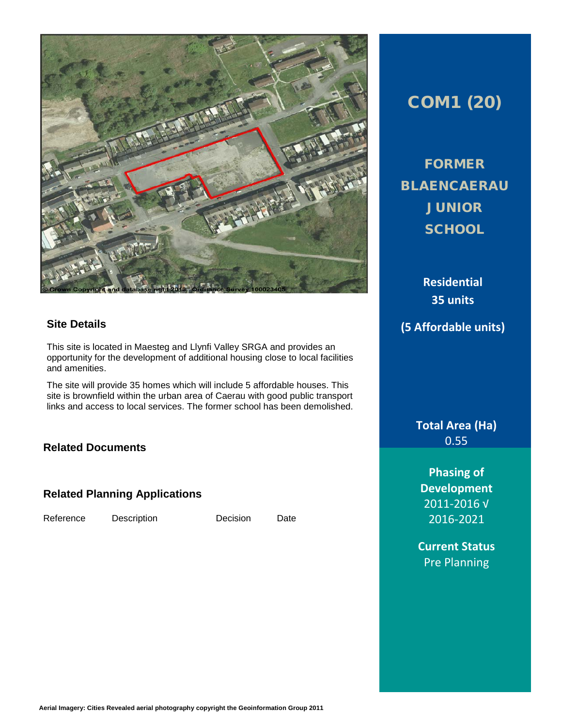

#### **Site Details**

This site is located in Maesteg and Llynfi Valley SRGA and provides an opportunity for the development of additional housing close to local facilities and amenities.

The site will provide 35 homes which will include 5 affordable houses. This site is brownfield within the urban area of Caerau with good public transport links and access to local services. The former school has been demolished.

#### **Related Documents**

#### **Related Planning Applications**

Reference Description Decision Date

## COM1 (20)

FORMER **BLAENCAERAU JUNIOR SCHOOL** 

**Residential 35 units (5 Affordable units)**

> **Total Area (Ha)** 0.55

**Phasing of Development** 2011-2016 √ 2016-2021

**Current Status** Pre Planning